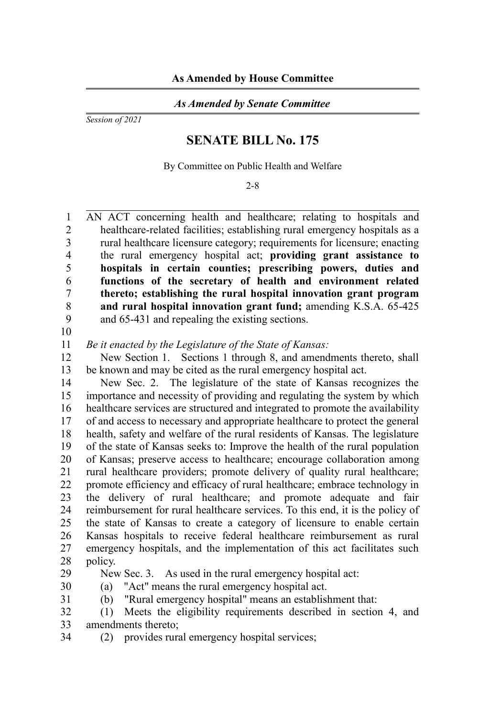## *As Amended by Senate Committee*

*Session of 2021*

## **SENATE BILL No. 175**

By Committee on Public Health and Welfare

2-8

AN ACT concerning health and healthcare; relating to hospitals and healthcare-related facilities; establishing rural emergency hospitals as a rural healthcare licensure category; requirements for licensure; enacting the rural emergency hospital act; **providing grant assistance to hospitals in certain counties; prescribing powers, duties and functions of the secretary of health and environment related thereto; establishing the rural hospital innovation grant program and rural hospital innovation grant fund;** amending K.S.A. 65-425 and 65-431 and repealing the existing sections. 1  $\mathfrak{D}$ 3 4 5 6 7 8 9

10

*Be it enacted by the Legislature of the State of Kansas:* 11

New Section 1. Sections 1 through 8, and amendments thereto, shall be known and may be cited as the rural emergency hospital act. 12 13

New Sec. 2. The legislature of the state of Kansas recognizes the importance and necessity of providing and regulating the system by which healthcare services are structured and integrated to promote the availability of and access to necessary and appropriate healthcare to protect the general health, safety and welfare of the rural residents of Kansas. The legislature of the state of Kansas seeks to: Improve the health of the rural population of Kansas; preserve access to healthcare; encourage collaboration among rural healthcare providers; promote delivery of quality rural healthcare; promote efficiency and efficacy of rural healthcare; embrace technology in the delivery of rural healthcare; and promote adequate and fair reimbursement for rural healthcare services. To this end, it is the policy of the state of Kansas to create a category of licensure to enable certain Kansas hospitals to receive federal healthcare reimbursement as rural emergency hospitals, and the implementation of this act facilitates such policy. 14 15 16 17 18 19 20 21 22 23 24 25 26 27 28

29

34

New Sec. 3. As used in the rural emergency hospital act:

(a) "Act" means the rural emergency hospital act. 30 31

(b) "Rural emergency hospital" means an establishment that:

- (1) Meets the eligibility requirements described in section 4, and amendments thereto; 32 33
	- (2) provides rural emergency hospital services;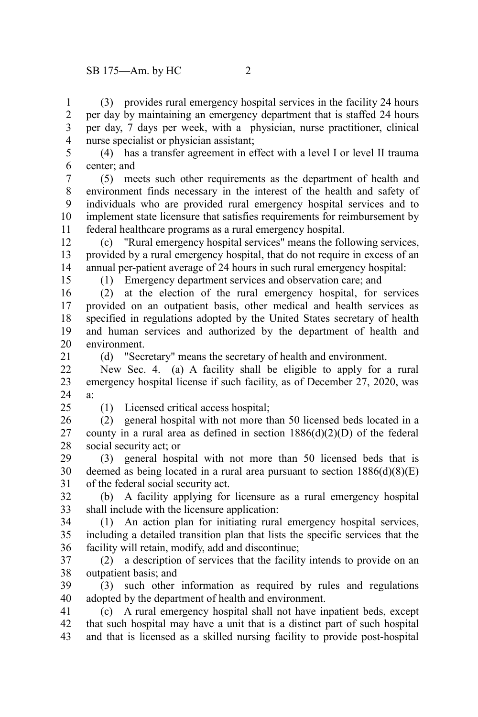(3) provides rural emergency hospital services in the facility 24 hours per day by maintaining an emergency department that is staffed 24 hours per day, 7 days per week, with a physician, nurse practitioner, clinical nurse specialist or physician assistant; 1 2 3 4

(4) has a transfer agreement in effect with a level I or level II trauma center; and 5 6

(5) meets such other requirements as the department of health and environment finds necessary in the interest of the health and safety of individuals who are provided rural emergency hospital services and to implement state licensure that satisfies requirements for reimbursement by federal healthcare programs as a rural emergency hospital. 7 8 9 10 11

(c) "Rural emergency hospital services" means the following services, provided by a rural emergency hospital, that do not require in excess of an annual per-patient average of 24 hours in such rural emergency hospital: 12 13 14

(1) Emergency department services and observation care; and

(2) at the election of the rural emergency hospital, for services provided on an outpatient basis, other medical and health services as specified in regulations adopted by the United States secretary of health and human services and authorized by the department of health and environment. 16 17 18 19 20

(d) "Secretary" means the secretary of health and environment. 21

New Sec. 4. (a) A facility shall be eligible to apply for a rural emergency hospital license if such facility, as of December 27, 2020, was a: 22 23 24

 $25$ 

15

(1) Licensed critical access hospital;

(2) general hospital with not more than 50 licensed beds located in a county in a rural area as defined in section  $1886(d)(2)(D)$  of the federal social security act; or 26 27 28

(3) general hospital with not more than 50 licensed beds that is deemed as being located in a rural area pursuant to section  $1886(d)(8)(E)$ of the federal social security act. 29 30 31

(b) A facility applying for licensure as a rural emergency hospital shall include with the licensure application: 32 33

(1) An action plan for initiating rural emergency hospital services, including a detailed transition plan that lists the specific services that the facility will retain, modify, add and discontinue; 34 35 36

(2) a description of services that the facility intends to provide on an outpatient basis; and 37 38

(3) such other information as required by rules and regulations adopted by the department of health and environment. 39 40

(c) A rural emergency hospital shall not have inpatient beds, except that such hospital may have a unit that is a distinct part of such hospital and that is licensed as a skilled nursing facility to provide post-hospital 41 42 43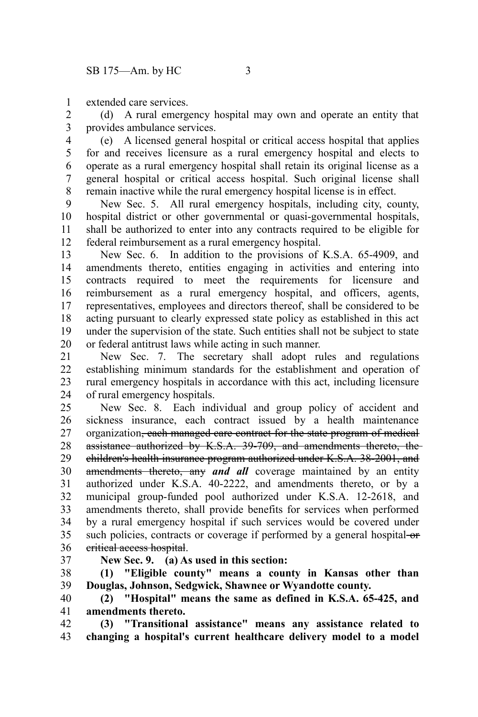extended care services. 1

(d) A rural emergency hospital may own and operate an entity that provides ambulance services. 2 3

(e) A licensed general hospital or critical access hospital that applies for and receives licensure as a rural emergency hospital and elects to operate as a rural emergency hospital shall retain its original license as a general hospital or critical access hospital. Such original license shall remain inactive while the rural emergency hospital license is in effect. 4 5 6 7 8

New Sec. 5. All rural emergency hospitals, including city, county, hospital district or other governmental or quasi-governmental hospitals, shall be authorized to enter into any contracts required to be eligible for federal reimbursement as a rural emergency hospital. 9 10 11 12

New Sec. 6. In addition to the provisions of K.S.A. 65-4909, and amendments thereto, entities engaging in activities and entering into contracts required to meet the requirements for licensure and reimbursement as a rural emergency hospital, and officers, agents, representatives, employees and directors thereof, shall be considered to be acting pursuant to clearly expressed state policy as established in this act under the supervision of the state. Such entities shall not be subject to state or federal antitrust laws while acting in such manner. 13 14 15 16 17 18 19 20

New Sec. 7. The secretary shall adopt rules and regulations establishing minimum standards for the establishment and operation of rural emergency hospitals in accordance with this act, including licensure of rural emergency hospitals. 21 22 23 24

New Sec. 8. Each individual and group policy of accident and sickness insurance, each contract issued by a health maintenance organization, each managed care contract for the state program of medical assistance authorized by K.S.A. 39-709, and amendments thereto, the children's health insurance program authorized under K.S.A. 38-2001, and amendments thereto, any *and all* coverage maintained by an entity authorized under K.S.A. 40-2222, and amendments thereto, or by a municipal group-funded pool authorized under K.S.A. 12-2618, and amendments thereto, shall provide benefits for services when performed by a rural emergency hospital if such services would be covered under such policies, contracts or coverage if performed by a general hospital-or critical access hospital. 25 26 27 28 29 30 31 32 33 34 35 36

37

**New Sec. 9. (a) As used in this section:**

**(1) "Eligible county" means a county in Kansas other than Douglas, Johnson, Sedgwick, Shawnee or Wyandotte county.** 38 39

**(2) "Hospital" means the same as defined in K.S.A. 65-425, and amendments thereto.** 40 41

**(3) "Transitional assistance" means any assistance related to changing a hospital's current healthcare delivery model to a model** 42 43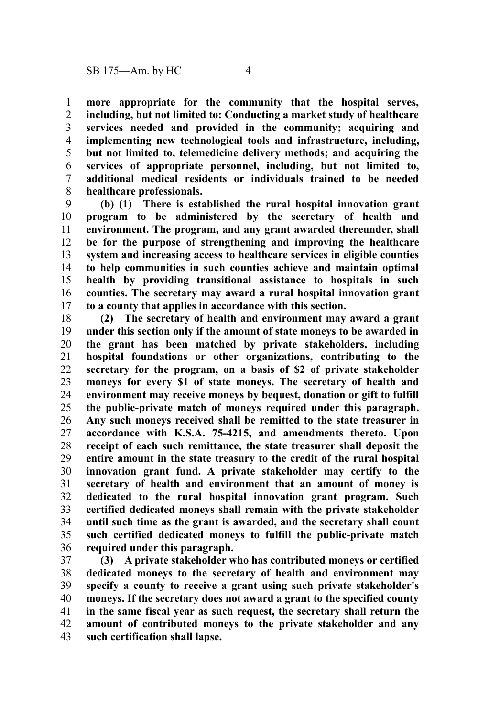**more appropriate for the community that the hospital serves, including, but not limited to: Conducting a market study of healthcare services needed and provided in the community; acquiring and implementing new technological tools and infrastructure, including, but not limited to, telemedicine delivery methods; and acquiring the services of appropriate personnel, including, but not limited to, additional medical residents or individuals trained to be needed healthcare professionals.** 1 2 3 4 5 6 7 8

**(b) (1) There is established the rural hospital innovation grant program to be administered by the secretary of health and environment. The program, and any grant awarded thereunder, shall be for the purpose of strengthening and improving the healthcare system and increasing access to healthcare services in eligible counties to help communities in such counties achieve and maintain optimal health by providing transitional assistance to hospitals in such counties. The secretary may award a rural hospital innovation grant to a county that applies in accordance with this section.** 9 10 11 12 13 14 15 16 17

**(2) The secretary of health and environment may award a grant under this section only if the amount of state moneys to be awarded in the grant has been matched by private stakeholders, including hospital foundations or other organizations, contributing to the secretary for the program, on a basis of \$2 of private stakeholder moneys for every \$1 of state moneys. The secretary of health and environment may receive moneys by bequest, donation or gift to fulfill the public-private match of moneys required under this paragraph. Any such moneys received shall be remitted to the state treasurer in accordance with K.S.A. 75-4215, and amendments thereto. Upon receipt of each such remittance, the state treasurer shall deposit the entire amount in the state treasury to the credit of the rural hospital innovation grant fund. A private stakeholder may certify to the secretary of health and environment that an amount of money is dedicated to the rural hospital innovation grant program. Such certified dedicated moneys shall remain with the private stakeholder until such time as the grant is awarded, and the secretary shall count such certified dedicated moneys to fulfill the public-private match required under this paragraph.** 18 19 20 21 22 23 24 25 26 27 28 29 30 31 32 33 34 35 36

**(3) A private stakeholder who has contributed moneys or certified dedicated moneys to the secretary of health and environment may specify a county to receive a grant using such private stakeholder's moneys. If the secretary does not award a grant to the specified county in the same fiscal year as such request, the secretary shall return the amount of contributed moneys to the private stakeholder and any such certification shall lapse.** 37 38 39 40 41 42 43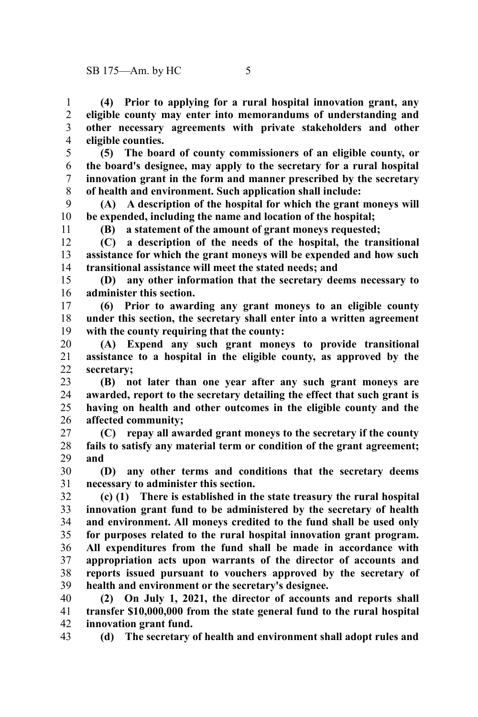**(4) Prior to applying for a rural hospital innovation grant, any eligible county may enter into memorandums of understanding and other necessary agreements with private stakeholders and other eligible counties.** 1 2 3 4

**(5) The board of county commissioners of an eligible county, or the board's designee, may apply to the secretary for a rural hospital innovation grant in the form and manner prescribed by the secretary of health and environment. Such application shall include:** 5 6 7 8

**(A) A description of the hospital for which the grant moneys will be expended, including the name and location of the hospital;** 9 10

**(B) a statement of the amount of grant moneys requested;**

**(C) a description of the needs of the hospital, the transitional assistance for which the grant moneys will be expended and how such transitional assistance will meet the stated needs; and** 12 13 14

**(D) any other information that the secretary deems necessary to administer this section.** 15 16

**(6) Prior to awarding any grant moneys to an eligible county under this section, the secretary shall enter into a written agreement with the county requiring that the county:** 17 18 19

**(A) Expend any such grant moneys to provide transitional assistance to a hospital in the eligible county, as approved by the secretary;** 20 21 22

**(B) not later than one year after any such grant moneys are awarded, report to the secretary detailing the effect that such grant is having on health and other outcomes in the eligible county and the affected community;** 23 24 25 26

**(C) repay all awarded grant moneys to the secretary if the county fails to satisfy any material term or condition of the grant agreement; and** 27 28 29

**(D) any other terms and conditions that the secretary deems necessary to administer this section.** 30 31

**(c) (1) There is established in the state treasury the rural hospital innovation grant fund to be administered by the secretary of health and environment. All moneys credited to the fund shall be used only for purposes related to the rural hospital innovation grant program. All expenditures from the fund shall be made in accordance with appropriation acts upon warrants of the director of accounts and reports issued pursuant to vouchers approved by the secretary of health and environment or the secretary's designee.** 32 33 34 35 36 37 38 39

**(2) On July 1, 2021, the director of accounts and reports shall transfer \$10,000,000 from the state general fund to the rural hospital innovation grant fund.** 40 41 42

**(d) The secretary of health and environment shall adopt rules and** 43

11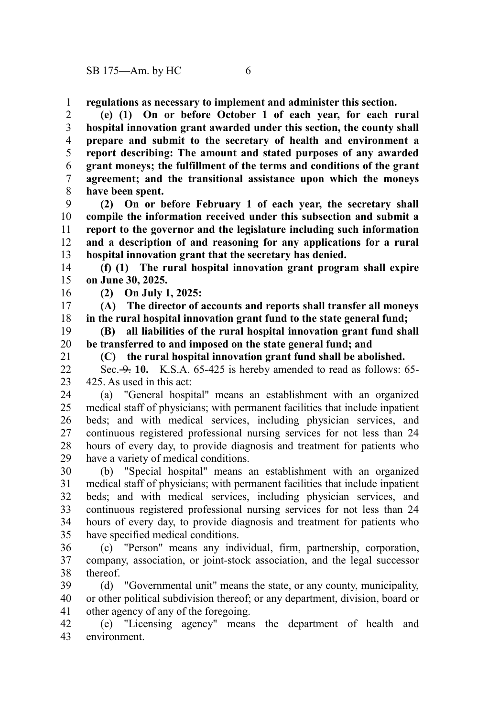**regulations as necessary to implement and administer this section.** 1

**(e) (1) On or before October 1 of each year, for each rural hospital innovation grant awarded under this section, the county shall prepare and submit to the secretary of health and environment a report describing: The amount and stated purposes of any awarded grant moneys; the fulfillment of the terms and conditions of the grant agreement; and the transitional assistance upon which the moneys have been spent.** 2 3 4 5 6 7 8

**(2) On or before February 1 of each year, the secretary shall compile the information received under this subsection and submit a report to the governor and the legislature including such information and a description of and reasoning for any applications for a rural hospital innovation grant that the secretary has denied.** 9 10 11 12 13

**(f) (1) The rural hospital innovation grant program shall expire on June 30, 2025.** 14 15

16

**(2) On July 1, 2025:**

**(A) The director of accounts and reports shall transfer all moneys in the rural hospital innovation grant fund to the state general fund;** 17 18

**(B) all liabilities of the rural hospital innovation grant fund shall be transferred to and imposed on the state general fund; and** 19 20

21

**(C) the rural hospital innovation grant fund shall be abolished.**

Sec. 9. **10.** K.S.A. 65-425 is hereby amended to read as follows: 65- 425. As used in this act:  $22$ 23

(a) "General hospital" means an establishment with an organized medical staff of physicians; with permanent facilities that include inpatient beds; and with medical services, including physician services, and continuous registered professional nursing services for not less than 24 hours of every day, to provide diagnosis and treatment for patients who have a variety of medical conditions. 24 25 26 27 28 29

(b) "Special hospital" means an establishment with an organized medical staff of physicians; with permanent facilities that include inpatient beds; and with medical services, including physician services, and continuous registered professional nursing services for not less than 24 hours of every day, to provide diagnosis and treatment for patients who have specified medical conditions. 30 31 32 33 34 35

(c) "Person" means any individual, firm, partnership, corporation, company, association, or joint-stock association, and the legal successor thereof. 36 37 38

(d) "Governmental unit" means the state, or any county, municipality, or other political subdivision thereof; or any department, division, board or other agency of any of the foregoing. 39 40 41

(e) "Licensing agency" means the department of health and environment. 42 43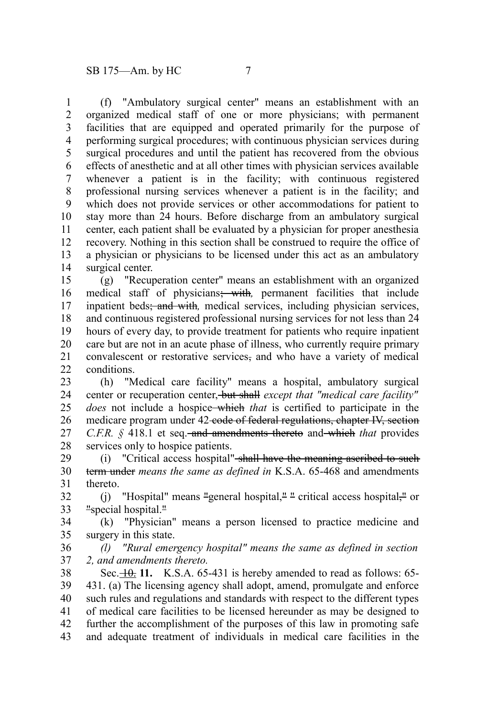(f) "Ambulatory surgical center" means an establishment with an organized medical staff of one or more physicians; with permanent facilities that are equipped and operated primarily for the purpose of performing surgical procedures; with continuous physician services during surgical procedures and until the patient has recovered from the obvious effects of anesthetic and at all other times with physician services available whenever a patient is in the facility; with continuous registered professional nursing services whenever a patient is in the facility; and which does not provide services or other accommodations for patient to stay more than 24 hours. Before discharge from an ambulatory surgical center, each patient shall be evaluated by a physician for proper anesthesia recovery. Nothing in this section shall be construed to require the office of a physician or physicians to be licensed under this act as an ambulatory surgical center. 1 2 3 4 5 6 7 8 9 10 11 12 13 14

(g) "Recuperation center" means an establishment with an organized medical staff of physicians; with*,* permanent facilities that include inpatient beds; and with*,* medical services, including physician services, and continuous registered professional nursing services for not less than 24 hours of every day, to provide treatment for patients who require inpatient care but are not in an acute phase of illness, who currently require primary convalescent or restorative services, and who have a variety of medical conditions. 15 16 17 18 19 20 21  $22$ 

(h) "Medical care facility" means a hospital, ambulatory surgical center or recuperation center, but shall *except that "medical care facility" does* not include a hospice which *that* is certified to participate in the medicare program under 42-code of federal regulations, chapter IV, section *C.F.R.* § 418.1 et seq.<del>-and amendments thereto</del> and which *that* provides services only to hospice patients. 23 24 25 26 27 28

(i) "Critical access hospital" shall have the meaning ascribed to such term under *means the same as defined in* K.S.A. 65-468 and amendments thereto. 29 30 31

(j) "Hospital" means "general hospital," " critical access hospital," or "special hospital." 32 33

(k) "Physician" means a person licensed to practice medicine and surgery in this state. 34 35

*(l) "Rural emergency hospital" means the same as defined in section 2, and amendments thereto.* 36 37

Sec. $\frac{10}{11}$ , K.S.A. 65-431 is hereby amended to read as follows: 65-431. (a) The licensing agency shall adopt, amend, promulgate and enforce such rules and regulations and standards with respect to the different types of medical care facilities to be licensed hereunder as may be designed to further the accomplishment of the purposes of this law in promoting safe and adequate treatment of individuals in medical care facilities in the 38 39 40 41 42 43